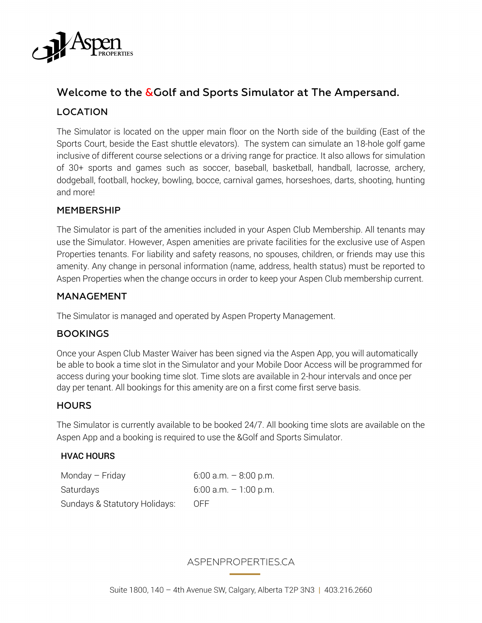

# Welcome to the &Golf and Sports Simulator at The Ampersand.

## LOCATION

The Simulator is located on the upper main floor on the North side of the building (East of the Sports Court, beside the East shuttle elevators). The system can simulate an 18-hole golf game inclusive of different course selections or a driving range for practice. It also allows for simulation of 30+ sports and games such as soccer, baseball, basketball, handball, lacrosse, archery, dodgeball, football, hockey, bowling, bocce, carnival games, horseshoes, darts, shooting, hunting and more!

#### MEMBERSHIP

The Simulator is part of the amenities included in your Aspen Club Membership. All tenants may use the Simulator. However, Aspen amenities are private facilities for the exclusive use of Aspen Properties tenants. For liability and safety reasons, no spouses, children, or friends may use this amenity. Any change in personal information (name, address, health status) must be reported to Aspen Properties when the change occurs in order to keep your Aspen Club membership current.

#### MANAGEMENT

The Simulator is managed and operated by Aspen Property Management.

### BOOKINGS

Once your Aspen Club Master Waiver has been signed via the Aspen App, you will automatically be able to book a time slot in the Simulator and your Mobile Door Access will be programmed for access during your booking time slot. Time slots are available in 2-hour intervals and once per day per tenant. All bookings for this amenity are on a first come first serve basis.

#### **HOURS**

The Simulator is currently available to be booked 24/7. All booking time slots are available on the Aspen App and a booking is required to use the &Golf and Sports Simulator.

#### HVAC HOURS

| Monday - Friday               | $6:00$ a.m. $-8:00$ p.m. |
|-------------------------------|--------------------------|
| Saturdays                     | $6:00$ a.m. $-1:00$ p.m. |
| Sundays & Statutory Holidays: | 0FF                      |

### ASPENPROPERTIES.CA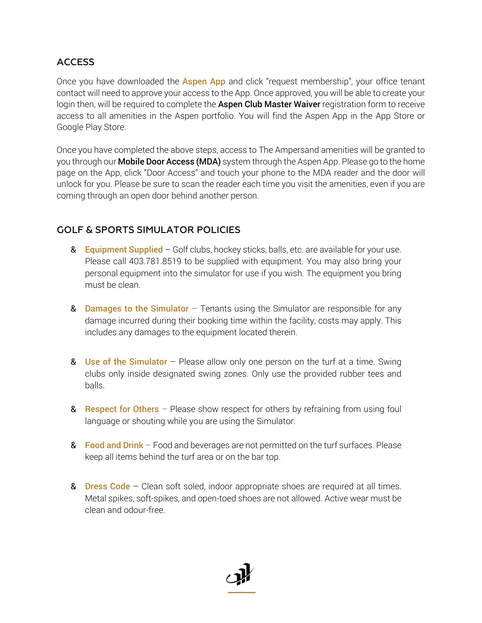# **ACCESS**

Once you have downloaded the **Aspen App** and click "request membership", your office tenant contact will need to approve your access to the App. Once approved, you will be able to create your login then, will be required to complete the Aspen Club Master Waiver registration form to receive access to all amenities in the Aspen portfolio. You will find the Aspen App in the App Store or Google Play Store.

Once you have completed the above steps, access to The Ampersand amenities will be granted to you through our **Mobile Door Access (MDA)** system through the Aspen App. Please go to the home page on the App, click "Door Access" and touch your phone to the MDA reader and the door will unlock for you. Please be sure to scan the reader each time you visit the amenities, even if you are coming through an open door behind another person.

# GOLF & SPORTS SIMULATOR POLICIES

- & Equipment Supplied Golf clubs, hockey sticks, balls, etc. are available for your use. Please call 403.781.8519 to be supplied with equipment. You may also bring your personal equipment into the simulator for use if you wish. The equipment you bring must be clean.
- **& Damages to the Simulator** Tenants using the Simulator are responsible for any damage incurred during their booking time within the facility, costs may apply. This includes any damages to the equipment located therein.
- & Use of the Simulator Please allow only one person on the turf at a time. Swing clubs only inside designated swing zones. Only use the provided rubber tees and balls.
- & Respect for Others  $-$  Please show respect for others by refraining from using foul language or shouting while you are using the Simulator.
- & Food and Drink Food and beverages are not permitted on the turf surfaces. Please keep all items behind the turf area or on the bar top.
- & **Dress Code** Clean soft soled, indoor appropriate shoes are required at all times. Metal spikes, soft-spikes, and open-toed shoes are not allowed. Active wear must be clean and odour-free.